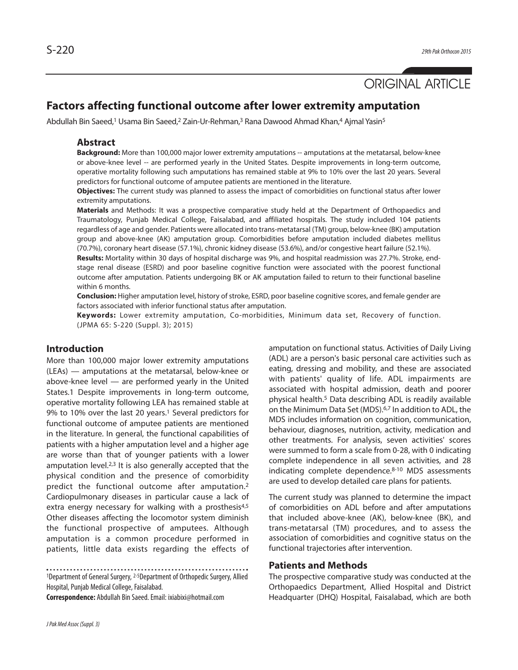# ORIGINAL ARTICLE

## **Factors affecting functional outcome after lower extremity amputation**

Abdullah Bin Saeed, <sup>1</sup> Usama Bin Saeed, <sup>2</sup> Zain-Ur-Rehman, <sup>3</sup> Rana Dawood Ahmad Khan, <sup>4</sup> Ajmal Yasin5

### **Abstract**

**Background:** More than 100,000 major lower extremity amputations -- amputations at the metatarsal, below-knee or above-knee level -- are performed yearly in the United States. Despite improvements in long-term outcome, operative mortality following such amputations has remained stable at 9% to 10% over the last 20 years. Several predictors for functional outcome of amputee patients are mentioned in the literature.

**Objectives:** The current study was planned to assess the impact of comorbidities on functional status after lower extremity amputations.

**Materials** and Methods: It was a prospective comparative study held at the Department of Orthopaedics and Traumatology, Punjab Medical College, Faisalabad, and affiliated hospitals. The study included 104 patients regardless of age and gender. Patients were allocated into trans-metatarsal (TM) group, below-knee (BK) amputation group and above-knee (AK) amputation group. Comorbidities before amputation included diabetes mellitus (70.7%), coronary heart disease (57.1%), chronic kidney disease (53.6%), and/or congestive heart failure (52.1%).

**Results:** Mortality within 30 days of hospital discharge was 9%, and hospital readmission was 27.7%. Stroke, endstage renal disease (ESRD) and poor baseline cognitive function were associated with the poorest functional outcome after amputation. Patients undergoing BK or AK amputation failed to return to their functional baseline within 6 months.

**Conclusion:** Higher amputation level, history of stroke, ESRD, poor baseline cognitive scores, and female gender are factors associated with inferior functional status after amputation.

**Keywords:** Lower extremity amputation, Co-morbidities, Minimum data set, Recovery of function. (JPMA 65: S-220 (Suppl. 3); 2015)

### **Introduction**

More than 100,000 major lower extremity amputations (LEAs) — amputations at the metatarsal, below-knee or above-knee level — are performed yearly in the United States.1 Despite improvements in long-term outcome, operative mortality following LEA has remained stable at 9% to 10% over the last 20 years. <sup>1</sup> Several predictors for functional outcome of amputee patients are mentioned in the literature. In general, the functional capabilities of patients with a higher amputation level and a higher age are worse than that of younger patients with a lower amputation level.<sup>2,3</sup> It is also generally accepted that the physical condition and the presence of comorbidity predict the functional outcome after amputation.<sup>2</sup> Cardiopulmonary diseases in particular cause a lack of extra energy necessary for walking with a prosthesis<sup>4,5</sup> Other diseases affecting the locomotor system diminish the functional prospective of amputees. Although amputation is a common procedure performed in patients, little data exists regarding the effects of

<sup>1</sup>Department of General Surgery, <sup>2-5</sup>Department of Orthopedic Surgery, Allied Hospital, Punjab Medical College, Faisalabad.

**Correspondence:** Abdullah Bin Saeed.Email: ixiabixi@hotmail.com

amputation on functional status. Activities of Daily Living (ADL) are a person's basic personal care activities such as eating, dressing and mobility, and these are associated with patients' quality of life. ADL impairments are associated with hospital admission, death and poorer physical health. <sup>5</sup> Data describing ADL is readily available on the Minimum Data Set (MDS). 6,7 In addition to ADL, the MDS includes information on cognition, communication, behaviour, diagnoses, nutrition, activity, medication and other treatments. For analysis, seven activities' scores were summed to form a scale from 0-28, with 0 indicating complete independence in all seven activities, and 28 indicating complete dependence. 8-10 MDS assessments are used to develop detailed care plans for patients.

The current study was planned to determine the impact of comorbidities on ADL before and after amputations that included above-knee (AK), below-knee (BK), and trans-metatarsal (TM) procedures, and to assess the association of comorbidities and cognitive status on the functional trajectories after intervention.

### **Patients and Methods**

The prospective comparative study was conducted at the Orthopaedics Department, Allied Hospital and District Headquarter (DHQ) Hospital, Faisalabad, which are both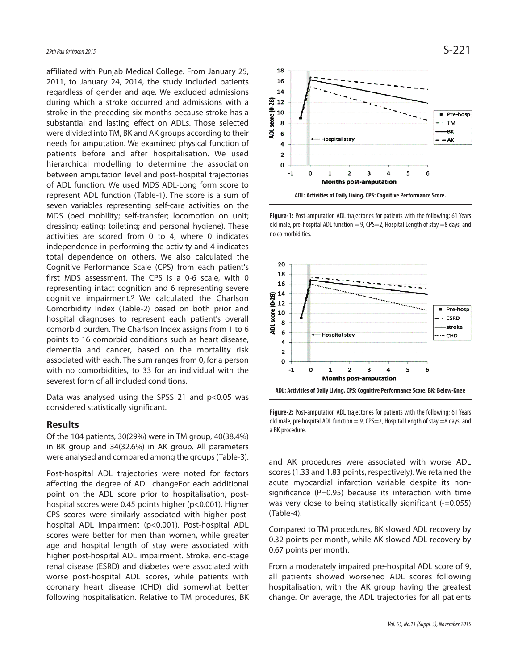affiliated with Punjab Medical College. From January 25, 2011, to January 24, 2014, the study included patients regardless of gender and age. We excluded admissions during which a stroke occurred and admissions with a stroke in the preceding six months because stroke has a substantial and lasting effect on ADLs. Those selected were divided into TM, BK and AK groups according to their needs for amputation. We examined physical function of patients before and after hospitalisation. We used hierarchical modelling to determine the association between amputation level and post-hospital trajectories of ADL function. We used MDS ADL-Long form score to represent ADL function (Table-1). The score is a sum of seven variables representing self-care activities on the MDS (bed mobility; self-transfer; locomotion on unit; dressing; eating; toileting; and personal hygiene). These activities are scored from 0 to 4, where 0 indicates independence in performing the activity and 4 indicates total dependence on others. We also calculated the Cognitive Performance Scale (CPS) from each patient's first MDS assessment. The CPS is a 0-6 scale, with 0 representing intact cognition and 6 representing severe cognitive impairment. <sup>9</sup> We calculated the Charlson Comorbidity Index (Table-2) based on both prior and hospital diagnoses to represent each patient's overall comorbid burden. The Charlson Index assigns from 1 to 6 points to 16 comorbid conditions such as heart disease, dementia and cancer, based on the mortality risk associated with each. The sum ranges from 0, for a person with no comorbidities, to 33 for an individual with the severest form of all included conditions.

Data was analysed using the SPSS 21 and p<0.05 was considered statistically significant.

### **Results**

Of the 104 patients, 30(29%) were in TM group, 40(38.4%) in BK group and 34(32.6%) in AK group. All parameters were analysed and compared among the groups(Table-3).

Post-hospital ADL trajectories were noted for factors affecting the degree of ADL changeFor each additional point on the ADL score prior to hospitalisation, posthospital scores were 0.45 points higher (p<0.001). Higher CPS scores were similarly associated with higher posthospital ADL impairment (p<0.001). Post-hospital ADL scores were better for men than women, while greater age and hospital length of stay were associated with higher post-hospital ADL impairment. Stroke, end-stage renal disease (ESRD) and diabetes were associated with worse post-hospital ADL scores, while patients with coronary heart disease (CHD) did somewhat better following hospitalisation. Relative to TM procedures, BK



**Figure-1:** Post-amputation ADL trajectories for patients with the following; 61 Years old male, pre-hospital ADL function  $= 9$ , CPS=2, Hospital Length of stay =8 days, and no co morbidities.



**Figure-2:** Post-amputation ADL trajectories for patients with the following; 61 Years old male, pre hospital ADL function  $= 9$ , CPS=2, Hospital Length of stay =8 days, and a BK procedure.

and AK procedures were associated with worse ADL scores(1.33 and 1.83 points, respectively). We retained the acute myocardial infarction variable despite its nonsignificance ( $P=0.95$ ) because its interaction with time was very close to being statistically significant (-=0.055) (Table-4).

Compared to TM procedures, BK slowed ADL recovery by 0.32 points per month, while AK slowed ADL recovery by 0.67 points per month.

From a moderately impaired pre-hospital ADL score of 9, all patients showed worsened ADL scores following hospitalisation, with the AK group having the greatest change. On average, the ADL trajectories for all patients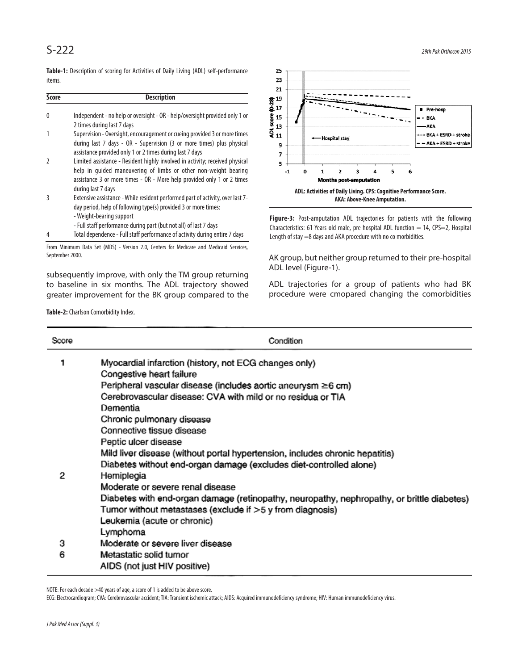**Table-1:** Description of scoring for Activities of Daily Living (ADL) self-performance items.

| Score | <b>Description</b>                                                                                                                                                                                                                                 |
|-------|----------------------------------------------------------------------------------------------------------------------------------------------------------------------------------------------------------------------------------------------------|
| 0     | Independent - no help or oversight - OR - help/oversight provided only 1 or<br>2 times during last 7 days                                                                                                                                          |
|       | Supervision - Oversight, encouragement or cueing provided 3 or more times<br>during last 7 days - OR - Supervision (3 or more times) plus physical<br>assistance provided only 1 or 2 times during last 7 days                                     |
|       | Limited assistance - Resident highly involved in activity; received physical<br>help in guided maneuvering of limbs or other non-weight bearing<br>assistance 3 or more times - OR - More help provided only 1 or 2 times<br>during last 7 days    |
| ξ     | Extensive assistance - While resident performed part of activity, over last 7-<br>day period, help of following type(s) provided 3 or more times:<br>- Weight-bearing support<br>- Full staff performance during part (but not all) of last 7 days |
| 4     | Total dependence - Full staff performance of activity during entire 7 days                                                                                                                                                                         |

From Minimum Data Set (MDS) - Version 2.0, Centers for Medicare and Medicaid Services, September 2000.

subsequently improve, with only the TM group returning to baseline in six months. The ADL trajectory showed greater improvement for the BK group compared to the

Table-2: Charlson Comorbidity Index.



**Figure-3:** Post-amputation ADL trajectories for patients with the following Characteristics: 61 Years old male, pre hospital ADL function  $= 14$ , CPS=2, Hospital Length of stay =8 days and AKA procedure with no co morbidities.

AK group, but neither group returned to their pre-hospital ADL level (Figure-1).

ADL trajectories for a group of patients who had BK procedure were cmopared changing the comorbidities

| Score | Condition                                                                                  |
|-------|--------------------------------------------------------------------------------------------|
|       | Myocardial infarction (history, not ECG changes only)                                      |
|       | Congestive heart failure                                                                   |
|       | Peripheral vascular disease (includes aortic aneurysm ≥6 cm)                               |
|       | Cerebrovascular disease: CVA with mild or no residua or TIA                                |
|       | Dementia                                                                                   |
|       | Chronic pulmonary disease                                                                  |
|       | Connective tissue disease                                                                  |
|       | Peptic ulcer disease                                                                       |
|       | Mild liver disease (without portal hypertension, includes chronic hepatitis)               |
|       | Diabetes without end-organ damage (excludes diet-controlled alone)                         |
| 2     | Hemiplegia                                                                                 |
|       | Moderate or severe renal disease                                                           |
|       | Diabetes with end-organ damage (retinopathy, neuropathy, nephropathy, or brittle diabetes) |
|       | Tumor without metastases (exclude if >5 y from diagnosis)                                  |
|       | Leukemia (acute or chronic)                                                                |
|       | Lymphoma                                                                                   |
| 3     | Moderate or severe liver disease                                                           |
| 6     | Metastatic solid tumor                                                                     |
|       | AIDS (not just HIV positive)                                                               |

NOTE: For each decade >40 years of age, a score of 1 is added to be above score.

ECG: Electrocardiogram; CVA: Cerebrovascular accident; TIA: Transient ischemic attack; AIDS: Acquired immunodeficiency syndrome; HIV: Human immunodeficiency virus.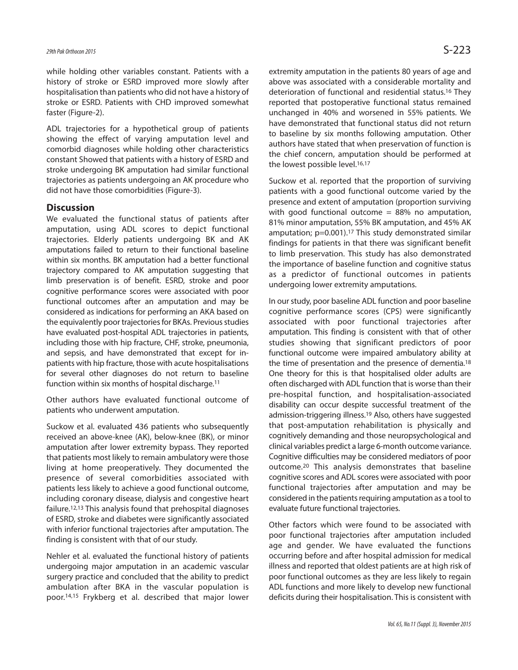while holding other variables constant. Patients with a history of stroke or ESRD improved more slowly after hospitalisation than patients who did not have a history of stroke or ESRD. Patients with CHD improved somewhat faster (Figure-2).

ADL trajectories for a hypothetical group of patients showing the effect of varying amputation level and comorbid diagnoses while holding other characteristics constant Showed that patients with a history of ESRD and stroke undergoing BK amputation had similar functional trajectories as patients undergoing an AK procedure who did not have those comorbidities (Figure-3).

### **Discussion**

We evaluated the functional status of patients after amputation, using ADL scores to depict functional trajectories. Elderly patients undergoing BK and AK amputations failed to return to their functional baseline within six months. BK amputation had a better functional trajectory compared to AK amputation suggesting that limb preservation is of benefit. ESRD, stroke and poor cognitive performance scores were associated with poor functional outcomes after an amputation and may be considered as indications for performing an AKA based on the equivalently poor trajectories for BKAs. Previous studies have evaluated post-hospital ADL trajectories in patients, including those with hip fracture, CHF, stroke, pneumonia, and sepsis, and have demonstrated that except for inpatients with hip fracture, those with acute hospitalisations for several other diagnoses do not return to baseline function within six months of hospital discharge. 11

Other authors have evaluated functional outcome of patients who underwent amputation.

Suckow et al. evaluated 436 patients who subsequently received an above-knee (AK), below-knee (BK), or minor amputation after lower extremity bypass. They reported that patients most likely to remain ambulatory were those living at home preoperatively. They documented the presence of several comorbidities associated with patients less likely to achieve a good functional outcome, including coronary disease, dialysis and congestive heart failure. 12,13 This analysis found that prehospital diagnoses of ESRD, stroke and diabetes were significantly associated with inferior functional trajectories after amputation. The finding is consistent with that of our study.

Nehler et al. evaluated the functional history of patients undergoing major amputation in an academic vascular surgery practice and concluded that the ability to predict ambulation after BKA in the vascular population is poor. 14,15 Frykberg et al. described that major lower

extremity amputation in the patients 80 years of age and above was associated with a considerable mortality and deterioration of functional and residential status. <sup>16</sup> They reported that postoperative functional status remained unchanged in 40% and worsened in 55% patients. We have demonstrated that functional status did not return to baseline by six months following amputation. Other authors have stated that when preservation of function is the chief concern, amputation should be performed at the lowest possible level.<sup>16,17</sup>

Suckow et al. reported that the proportion of surviving patients with a good functional outcome varied by the presence and extent of amputation (proportion surviving with good functional outcome  $= 88\%$  no amputation, 81% minor amputation, 55% BK amputation, and 45% AK amputation; p=0.001). <sup>17</sup> This study demonstrated similar findings for patients in that there was significant benefit to limb preservation. This study has also demonstrated the importance of baseline function and cognitive status as a predictor of functional outcomes in patients undergoing lower extremity amputations.

In our study, poor baseline ADL function and poor baseline cognitive performance scores (CPS) were significantly associated with poor functional trajectories after amputation. This finding is consistent with that of other studies showing that significant predictors of poor functional outcome were impaired ambulatory ability at the time of presentation and the presence of dementia.<sup>18</sup> One theory for this is that hospitalised older adults are often discharged with ADL function that is worse than their pre-hospital function, and hospitalisation-associated disability can occur despite successful treatment of the admission-triggering illness. <sup>19</sup> Also, others have suggested that post-amputation rehabilitation is physically and cognitively demanding and those neuropsychological and clinical variables predict a large 6-month outcome variance. Cognitive difficulties may be considered mediators of poor outcome. <sup>20</sup> This analysis demonstrates that baseline cognitive scores and ADL scores were associated with poor functional trajectories after amputation and may be considered in the patients requiring amputation as a tool to evaluate future functional trajectories.

Other factors which were found to be associated with poor functional trajectories after amputation included age and gender. We have evaluated the functions occurring before and after hospital admission for medical illness and reported that oldest patients are at high risk of poor functional outcomes as they are less likely to regain ADL functions and more likely to develop new functional deficits during their hospitalisation. This is consistent with